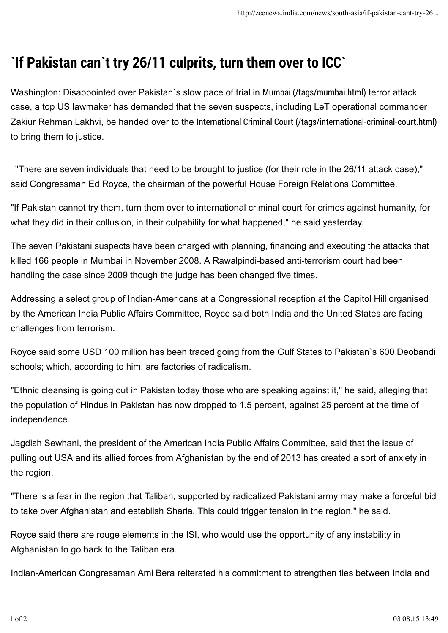## **`If Pakistan can`t try 26/11 culprits, turn them over to ICC`**

Washington: Disappointed over Pakistan`s slow pace of trial in Mumbai (/tags/mumbai.html) terror attack case, a top US lawmaker has demanded that the seven suspects, including LeT operational commander Zakiur Rehman Lakhvi, be handed over to the International Criminal Court (/tags/international-criminal-court.html) to bring them to justice.

"There are seven individuals that need to be brought to justice (for their role in the 26/11 attack case)," said Congressman Ed Royce, the chairman of the powerful House Foreign Relations Committee.

"If Pakistan cannot try them, turn them over to international criminal court for crimes against humanity, for what they did in their collusion, in their culpability for what happened," he said yesterday.

The seven Pakistani suspects have been charged with planning, financing and executing the attacks that killed 166 people in Mumbai in November 2008. A Rawalpindi-based anti-terrorism court had been handling the case since 2009 though the judge has been changed five times.

Addressing a select group of Indian-Americans at a Congressional reception at the Capitol Hill organised by the American India Public Affairs Committee, Royce said both India and the United States are facing challenges from terrorism.

Royce said some USD 100 million has been traced going from the Gulf States to Pakistan`s 600 Deobandi schools; which, according to him, are factories of radicalism.

"Ethnic cleansing is going out in Pakistan today those who are speaking against it," he said, alleging that the population of Hindus in Pakistan has now dropped to 1.5 percent, against 25 percent at the time of independence.

Jagdish Sewhani, the president of the American India Public Affairs Committee, said that the issue of pulling out USA and its allied forces from Afghanistan by the end of 2013 has created a sort of anxiety in the region.

"There is a fear in the region that Taliban, supported by radicalized Pakistani army may make a forceful bid to take over Afghanistan and establish Sharia. This could trigger tension in the region," he said.

Royce said there are rouge elements in the ISI, who would use the opportunity of any instability in Afghanistan to go back to the Taliban era.

Indian-American Congressman Ami Bera reiterated his commitment to strengthen ties between India and